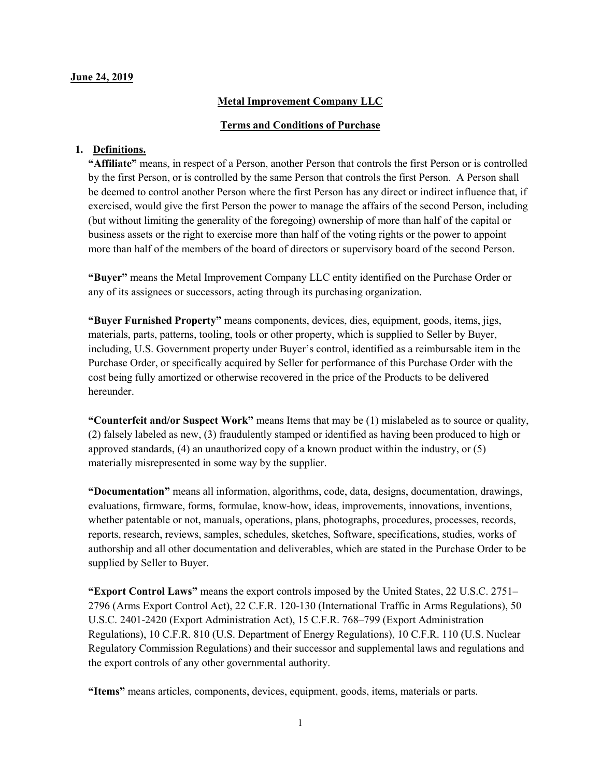#### June 24, 2019

## Metal Improvement Company LLC

### Terms and Conditions of Purchase

### 1. Definitions.

"Affiliate" means, in respect of a Person, another Person that controls the first Person or is controlled by the first Person, or is controlled by the same Person that controls the first Person. A Person shall be deemed to control another Person where the first Person has any direct or indirect influence that, if exercised, would give the first Person the power to manage the affairs of the second Person, including (but without limiting the generality of the foregoing) ownership of more than half of the capital or business assets or the right to exercise more than half of the voting rights or the power to appoint more than half of the members of the board of directors or supervisory board of the second Person.

"Buyer" means the Metal Improvement Company LLC entity identified on the Purchase Order or any of its assignees or successors, acting through its purchasing organization.

"Buyer Furnished Property" means components, devices, dies, equipment, goods, items, jigs, materials, parts, patterns, tooling, tools or other property, which is supplied to Seller by Buyer, including, U.S. Government property under Buyer's control, identified as a reimbursable item in the Purchase Order, or specifically acquired by Seller for performance of this Purchase Order with the cost being fully amortized or otherwise recovered in the price of the Products to be delivered hereunder.

"Counterfeit and/or Suspect Work" means Items that may be (1) mislabeled as to source or quality, (2) falsely labeled as new, (3) fraudulently stamped or identified as having been produced to high or approved standards, (4) an unauthorized copy of a known product within the industry, or (5) materially misrepresented in some way by the supplier.

"Documentation" means all information, algorithms, code, data, designs, documentation, drawings, evaluations, firmware, forms, formulae, know-how, ideas, improvements, innovations, inventions, whether patentable or not, manuals, operations, plans, photographs, procedures, processes, records, reports, research, reviews, samples, schedules, sketches, Software, specifications, studies, works of authorship and all other documentation and deliverables, which are stated in the Purchase Order to be supplied by Seller to Buyer.

"Export Control Laws" means the export controls imposed by the United States, 22 U.S.C. 2751– 2796 (Arms Export Control Act), 22 C.F.R. 120-130 (International Traffic in Arms Regulations), 50 U.S.C. 2401-2420 (Export Administration Act), 15 C.F.R. 768–799 (Export Administration Regulations), 10 C.F.R. 810 (U.S. Department of Energy Regulations), 10 C.F.R. 110 (U.S. Nuclear Regulatory Commission Regulations) and their successor and supplemental laws and regulations and the export controls of any other governmental authority.

"Items" means articles, components, devices, equipment, goods, items, materials or parts.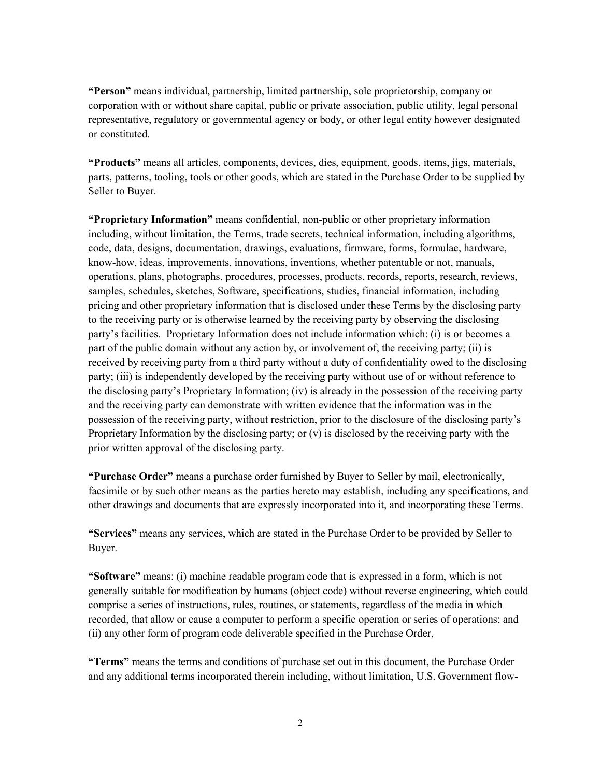"Person" means individual, partnership, limited partnership, sole proprietorship, company or corporation with or without share capital, public or private association, public utility, legal personal representative, regulatory or governmental agency or body, or other legal entity however designated or constituted.

"Products" means all articles, components, devices, dies, equipment, goods, items, jigs, materials, parts, patterns, tooling, tools or other goods, which are stated in the Purchase Order to be supplied by Seller to Buyer.

"Proprietary Information" means confidential, non-public or other proprietary information including, without limitation, the Terms, trade secrets, technical information, including algorithms, code, data, designs, documentation, drawings, evaluations, firmware, forms, formulae, hardware, know-how, ideas, improvements, innovations, inventions, whether patentable or not, manuals, operations, plans, photographs, procedures, processes, products, records, reports, research, reviews, samples, schedules, sketches, Software, specifications, studies, financial information, including pricing and other proprietary information that is disclosed under these Terms by the disclosing party to the receiving party or is otherwise learned by the receiving party by observing the disclosing party's facilities. Proprietary Information does not include information which: (i) is or becomes a part of the public domain without any action by, or involvement of, the receiving party; (ii) is received by receiving party from a third party without a duty of confidentiality owed to the disclosing party; (iii) is independently developed by the receiving party without use of or without reference to the disclosing party's Proprietary Information; (iv) is already in the possession of the receiving party and the receiving party can demonstrate with written evidence that the information was in the possession of the receiving party, without restriction, prior to the disclosure of the disclosing party's Proprietary Information by the disclosing party; or  $(v)$  is disclosed by the receiving party with the prior written approval of the disclosing party.

"Purchase Order" means a purchase order furnished by Buyer to Seller by mail, electronically, facsimile or by such other means as the parties hereto may establish, including any specifications, and other drawings and documents that are expressly incorporated into it, and incorporating these Terms.

"Services" means any services, which are stated in the Purchase Order to be provided by Seller to Buyer.

"Software" means: (i) machine readable program code that is expressed in a form, which is not generally suitable for modification by humans (object code) without reverse engineering, which could comprise a series of instructions, rules, routines, or statements, regardless of the media in which recorded, that allow or cause a computer to perform a specific operation or series of operations; and (ii) any other form of program code deliverable specified in the Purchase Order,

"Terms" means the terms and conditions of purchase set out in this document, the Purchase Order and any additional terms incorporated therein including, without limitation, U.S. Government flow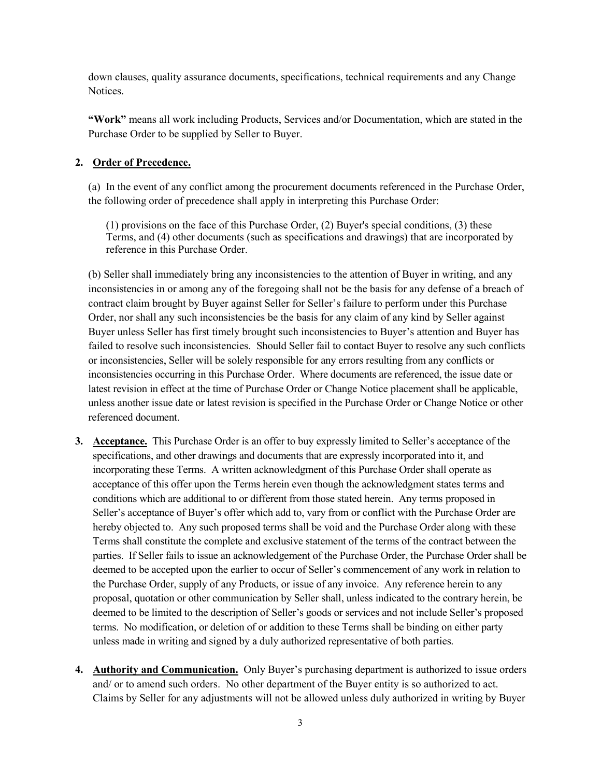down clauses, quality assurance documents, specifications, technical requirements and any Change Notices.

"Work" means all work including Products, Services and/or Documentation, which are stated in the Purchase Order to be supplied by Seller to Buyer.

## 2. Order of Precedence.

(a) In the event of any conflict among the procurement documents referenced in the Purchase Order, the following order of precedence shall apply in interpreting this Purchase Order:

(1) provisions on the face of this Purchase Order, (2) Buyer's special conditions, (3) these Terms, and (4) other documents (such as specifications and drawings) that are incorporated by reference in this Purchase Order.

(b) Seller shall immediately bring any inconsistencies to the attention of Buyer in writing, and any inconsistencies in or among any of the foregoing shall not be the basis for any defense of a breach of contract claim brought by Buyer against Seller for Seller's failure to perform under this Purchase Order, nor shall any such inconsistencies be the basis for any claim of any kind by Seller against Buyer unless Seller has first timely brought such inconsistencies to Buyer's attention and Buyer has failed to resolve such inconsistencies. Should Seller fail to contact Buyer to resolve any such conflicts or inconsistencies, Seller will be solely responsible for any errors resulting from any conflicts or inconsistencies occurring in this Purchase Order. Where documents are referenced, the issue date or latest revision in effect at the time of Purchase Order or Change Notice placement shall be applicable, unless another issue date or latest revision is specified in the Purchase Order or Change Notice or other referenced document.

- 3. Acceptance. This Purchase Order is an offer to buy expressly limited to Seller's acceptance of the specifications, and other drawings and documents that are expressly incorporated into it, and incorporating these Terms. A written acknowledgment of this Purchase Order shall operate as acceptance of this offer upon the Terms herein even though the acknowledgment states terms and conditions which are additional to or different from those stated herein. Any terms proposed in Seller's acceptance of Buyer's offer which add to, vary from or conflict with the Purchase Order are hereby objected to. Any such proposed terms shall be void and the Purchase Order along with these Terms shall constitute the complete and exclusive statement of the terms of the contract between the parties. If Seller fails to issue an acknowledgement of the Purchase Order, the Purchase Order shall be deemed to be accepted upon the earlier to occur of Seller's commencement of any work in relation to the Purchase Order, supply of any Products, or issue of any invoice. Any reference herein to any proposal, quotation or other communication by Seller shall, unless indicated to the contrary herein, be deemed to be limited to the description of Seller's goods or services and not include Seller's proposed terms. No modification, or deletion of or addition to these Terms shall be binding on either party unless made in writing and signed by a duly authorized representative of both parties.
- 4. Authority and Communication. Only Buyer's purchasing department is authorized to issue orders and/ or to amend such orders. No other department of the Buyer entity is so authorized to act. Claims by Seller for any adjustments will not be allowed unless duly authorized in writing by Buyer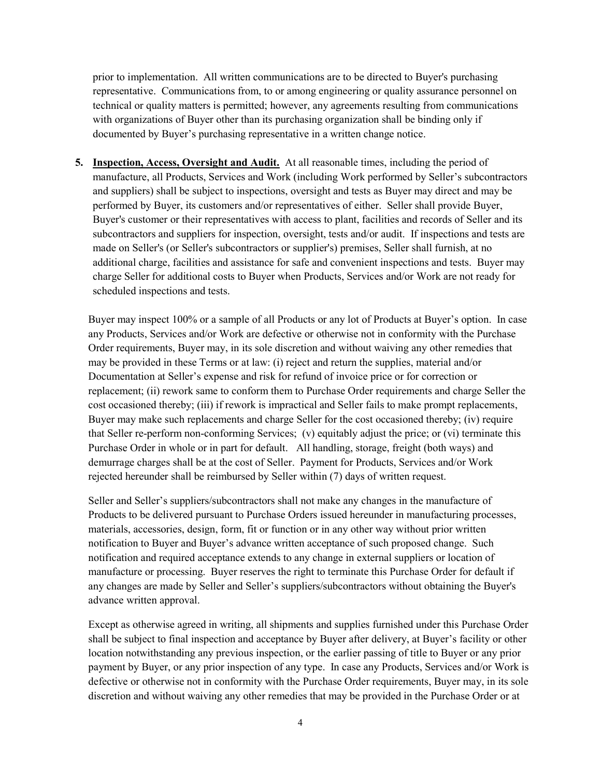prior to implementation. All written communications are to be directed to Buyer's purchasing representative. Communications from, to or among engineering or quality assurance personnel on technical or quality matters is permitted; however, any agreements resulting from communications with organizations of Buyer other than its purchasing organization shall be binding only if documented by Buyer's purchasing representative in a written change notice.

5. Inspection, Access, Oversight and Audit. At all reasonable times, including the period of manufacture, all Products, Services and Work (including Work performed by Seller's subcontractors and suppliers) shall be subject to inspections, oversight and tests as Buyer may direct and may be performed by Buyer, its customers and/or representatives of either. Seller shall provide Buyer, Buyer's customer or their representatives with access to plant, facilities and records of Seller and its subcontractors and suppliers for inspection, oversight, tests and/or audit. If inspections and tests are made on Seller's (or Seller's subcontractors or supplier's) premises, Seller shall furnish, at no additional charge, facilities and assistance for safe and convenient inspections and tests. Buyer may charge Seller for additional costs to Buyer when Products, Services and/or Work are not ready for scheduled inspections and tests.

Buyer may inspect 100% or a sample of all Products or any lot of Products at Buyer's option. In case any Products, Services and/or Work are defective or otherwise not in conformity with the Purchase Order requirements, Buyer may, in its sole discretion and without waiving any other remedies that may be provided in these Terms or at law: (i) reject and return the supplies, material and/or Documentation at Seller's expense and risk for refund of invoice price or for correction or replacement; (ii) rework same to conform them to Purchase Order requirements and charge Seller the cost occasioned thereby; (iii) if rework is impractical and Seller fails to make prompt replacements, Buyer may make such replacements and charge Seller for the cost occasioned thereby; (iv) require that Seller re-perform non-conforming Services; (v) equitably adjust the price; or (vi) terminate this Purchase Order in whole or in part for default. All handling, storage, freight (both ways) and demurrage charges shall be at the cost of Seller. Payment for Products, Services and/or Work rejected hereunder shall be reimbursed by Seller within (7) days of written request.

Seller and Seller's suppliers/subcontractors shall not make any changes in the manufacture of Products to be delivered pursuant to Purchase Orders issued hereunder in manufacturing processes, materials, accessories, design, form, fit or function or in any other way without prior written notification to Buyer and Buyer's advance written acceptance of such proposed change. Such notification and required acceptance extends to any change in external suppliers or location of manufacture or processing. Buyer reserves the right to terminate this Purchase Order for default if any changes are made by Seller and Seller's suppliers/subcontractors without obtaining the Buyer's advance written approval.

Except as otherwise agreed in writing, all shipments and supplies furnished under this Purchase Order shall be subject to final inspection and acceptance by Buyer after delivery, at Buyer's facility or other location notwithstanding any previous inspection, or the earlier passing of title to Buyer or any prior payment by Buyer, or any prior inspection of any type. In case any Products, Services and/or Work is defective or otherwise not in conformity with the Purchase Order requirements, Buyer may, in its sole discretion and without waiving any other remedies that may be provided in the Purchase Order or at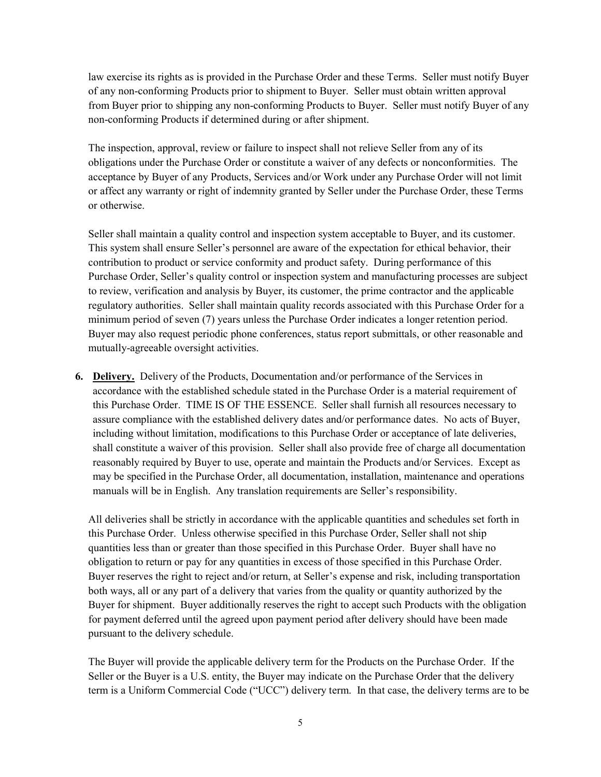law exercise its rights as is provided in the Purchase Order and these Terms. Seller must notify Buyer of any non-conforming Products prior to shipment to Buyer. Seller must obtain written approval from Buyer prior to shipping any non-conforming Products to Buyer. Seller must notify Buyer of any non-conforming Products if determined during or after shipment.

The inspection, approval, review or failure to inspect shall not relieve Seller from any of its obligations under the Purchase Order or constitute a waiver of any defects or nonconformities. The acceptance by Buyer of any Products, Services and/or Work under any Purchase Order will not limit or affect any warranty or right of indemnity granted by Seller under the Purchase Order, these Terms or otherwise.

Seller shall maintain a quality control and inspection system acceptable to Buyer, and its customer. This system shall ensure Seller's personnel are aware of the expectation for ethical behavior, their contribution to product or service conformity and product safety. During performance of this Purchase Order, Seller's quality control or inspection system and manufacturing processes are subject to review, verification and analysis by Buyer, its customer, the prime contractor and the applicable regulatory authorities. Seller shall maintain quality records associated with this Purchase Order for a minimum period of seven (7) years unless the Purchase Order indicates a longer retention period. Buyer may also request periodic phone conferences, status report submittals, or other reasonable and mutually-agreeable oversight activities.

6. Delivery. Delivery of the Products, Documentation and/or performance of the Services in accordance with the established schedule stated in the Purchase Order is a material requirement of this Purchase Order. TIME IS OF THE ESSENCE. Seller shall furnish all resources necessary to assure compliance with the established delivery dates and/or performance dates. No acts of Buyer, including without limitation, modifications to this Purchase Order or acceptance of late deliveries, shall constitute a waiver of this provision. Seller shall also provide free of charge all documentation reasonably required by Buyer to use, operate and maintain the Products and/or Services. Except as may be specified in the Purchase Order, all documentation, installation, maintenance and operations manuals will be in English. Any translation requirements are Seller's responsibility.

All deliveries shall be strictly in accordance with the applicable quantities and schedules set forth in this Purchase Order. Unless otherwise specified in this Purchase Order, Seller shall not ship quantities less than or greater than those specified in this Purchase Order. Buyer shall have no obligation to return or pay for any quantities in excess of those specified in this Purchase Order. Buyer reserves the right to reject and/or return, at Seller's expense and risk, including transportation both ways, all or any part of a delivery that varies from the quality or quantity authorized by the Buyer for shipment. Buyer additionally reserves the right to accept such Products with the obligation for payment deferred until the agreed upon payment period after delivery should have been made pursuant to the delivery schedule.

The Buyer will provide the applicable delivery term for the Products on the Purchase Order. If the Seller or the Buyer is a U.S. entity, the Buyer may indicate on the Purchase Order that the delivery term is a Uniform Commercial Code ("UCC") delivery term. In that case, the delivery terms are to be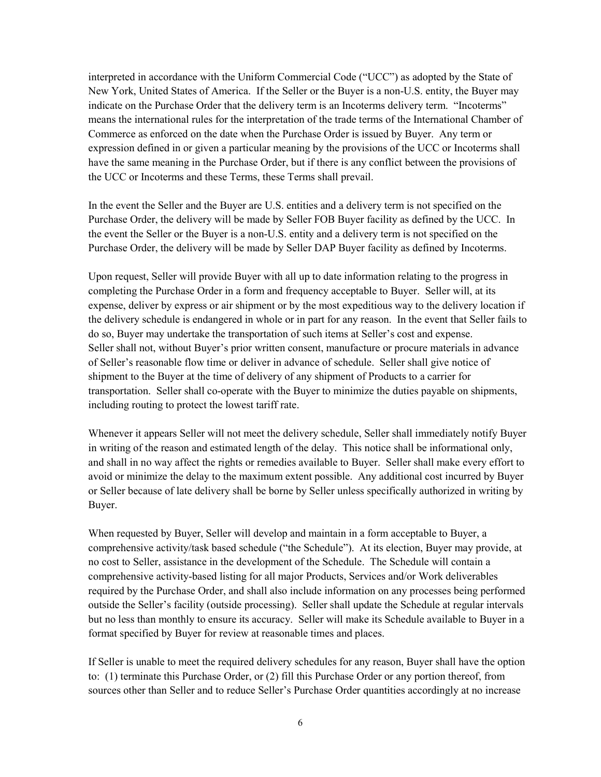interpreted in accordance with the Uniform Commercial Code ("UCC") as adopted by the State of New York, United States of America. If the Seller or the Buyer is a non-U.S. entity, the Buyer may indicate on the Purchase Order that the delivery term is an Incoterms delivery term. "Incoterms" means the international rules for the interpretation of the trade terms of the International Chamber of Commerce as enforced on the date when the Purchase Order is issued by Buyer. Any term or expression defined in or given a particular meaning by the provisions of the UCC or Incoterms shall have the same meaning in the Purchase Order, but if there is any conflict between the provisions of the UCC or Incoterms and these Terms, these Terms shall prevail.

In the event the Seller and the Buyer are U.S. entities and a delivery term is not specified on the Purchase Order, the delivery will be made by Seller FOB Buyer facility as defined by the UCC. In the event the Seller or the Buyer is a non-U.S. entity and a delivery term is not specified on the Purchase Order, the delivery will be made by Seller DAP Buyer facility as defined by Incoterms.

Upon request, Seller will provide Buyer with all up to date information relating to the progress in completing the Purchase Order in a form and frequency acceptable to Buyer. Seller will, at its expense, deliver by express or air shipment or by the most expeditious way to the delivery location if the delivery schedule is endangered in whole or in part for any reason. In the event that Seller fails to do so, Buyer may undertake the transportation of such items at Seller's cost and expense. Seller shall not, without Buyer's prior written consent, manufacture or procure materials in advance of Seller's reasonable flow time or deliver in advance of schedule. Seller shall give notice of shipment to the Buyer at the time of delivery of any shipment of Products to a carrier for transportation. Seller shall co-operate with the Buyer to minimize the duties payable on shipments, including routing to protect the lowest tariff rate.

Whenever it appears Seller will not meet the delivery schedule, Seller shall immediately notify Buyer in writing of the reason and estimated length of the delay. This notice shall be informational only, and shall in no way affect the rights or remedies available to Buyer. Seller shall make every effort to avoid or minimize the delay to the maximum extent possible. Any additional cost incurred by Buyer or Seller because of late delivery shall be borne by Seller unless specifically authorized in writing by Buyer.

When requested by Buyer, Seller will develop and maintain in a form acceptable to Buyer, a comprehensive activity/task based schedule ("the Schedule"). At its election, Buyer may provide, at no cost to Seller, assistance in the development of the Schedule. The Schedule will contain a comprehensive activity-based listing for all major Products, Services and/or Work deliverables required by the Purchase Order, and shall also include information on any processes being performed outside the Seller's facility (outside processing). Seller shall update the Schedule at regular intervals but no less than monthly to ensure its accuracy. Seller will make its Schedule available to Buyer in a format specified by Buyer for review at reasonable times and places.

If Seller is unable to meet the required delivery schedules for any reason, Buyer shall have the option to: (1) terminate this Purchase Order, or (2) fill this Purchase Order or any portion thereof, from sources other than Seller and to reduce Seller's Purchase Order quantities accordingly at no increase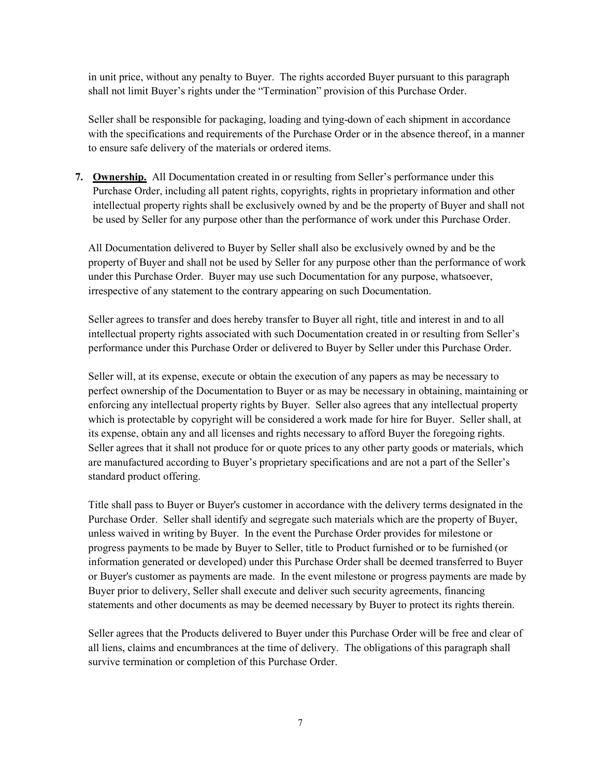in unit price, without any penalty to Buyer. The rights accorded Buyer pursuant to this paragraph shall not limit Buyer's rights under the "Termination" provision of this Purchase Order.

Seller shall be responsible for packaging, loading and tying-down of each shipment in accordance with the specifications and requirements of the Purchase Order or in the absence thereof, in a manner to ensure safe delivery of the materials or ordered items.

7. Ownership. All Documentation created in or resulting from Seller's performance under this Purchase Order, including all patent rights, copyrights, rights in proprietary information and other intellectual property rights shall be exclusively owned by and be the property of Buyer and shall not be used by Seller for any purpose other than the performance of work under this Purchase Order.

All Documentation delivered to Buyer by Seller shall also be exclusively owned by and be the property of Buyer and shall not be used by Seller for any purpose other than the performance of work under this Purchase Order. Buyer may use such Documentation for any purpose, whatsoever, irrespective of any statement to the contrary appearing on such Documentation.

Seller agrees to transfer and does hereby transfer to Buyer all right, title and interest in and to all intellectual property rights associated with such Documentation created in or resulting from Seller's performance under this Purchase Order or delivered to Buyer by Seller under this Purchase Order.

Seller will, at its expense, execute or obtain the execution of any papers as may be necessary to perfect ownership of the Documentation to Buyer or as may be necessary in obtaining, maintaining or enforcing any intellectual property rights by Buyer. Seller also agrees that any intellectual property which is protectable by copyright will be considered a work made for hire for Buyer. Seller shall, at its expense, obtain any and all licenses and rights necessary to afford Buyer the foregoing rights. Seller agrees that it shall not produce for or quote prices to any other party goods or materials, which are manufactured according to Buyer's proprietary specifications and are not a part of the Seller's standard product offering.

Title shall pass to Buyer or Buyer's customer in accordance with the delivery terms designated in the Purchase Order. Seller shall identify and segregate such materials which are the property of Buyer, unless waived in writing by Buyer. In the event the Purchase Order provides for milestone or progress payments to be made by Buyer to Seller, title to Product furnished or to be furnished (or information generated or developed) under this Purchase Order shall be deemed transferred to Buyer or Buyer's customer as payments are made. In the event milestone or progress payments are made by Buyer prior to delivery, Seller shall execute and deliver such security agreements, financing statements and other documents as may be deemed necessary by Buyer to protect its rights therein.

Seller agrees that the Products delivered to Buyer under this Purchase Order will be free and clear of all liens, claims and encumbrances at the time of delivery. The obligations of this paragraph shall survive termination or completion of this Purchase Order.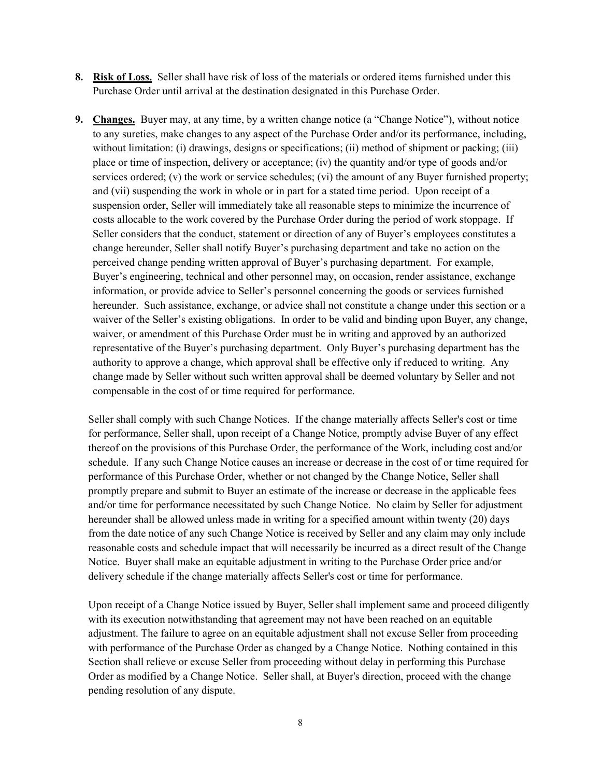- 8. Risk of Loss. Seller shall have risk of loss of the materials or ordered items furnished under this Purchase Order until arrival at the destination designated in this Purchase Order.
- 9. Changes. Buyer may, at any time, by a written change notice (a "Change Notice"), without notice to any sureties, make changes to any aspect of the Purchase Order and/or its performance, including, without limitation: (i) drawings, designs or specifications; (ii) method of shipment or packing; (iii) place or time of inspection, delivery or acceptance; (iv) the quantity and/or type of goods and/or services ordered; (v) the work or service schedules; (vi) the amount of any Buyer furnished property; and (vii) suspending the work in whole or in part for a stated time period. Upon receipt of a suspension order, Seller will immediately take all reasonable steps to minimize the incurrence of costs allocable to the work covered by the Purchase Order during the period of work stoppage. If Seller considers that the conduct, statement or direction of any of Buyer's employees constitutes a change hereunder, Seller shall notify Buyer's purchasing department and take no action on the perceived change pending written approval of Buyer's purchasing department. For example, Buyer's engineering, technical and other personnel may, on occasion, render assistance, exchange information, or provide advice to Seller's personnel concerning the goods or services furnished hereunder. Such assistance, exchange, or advice shall not constitute a change under this section or a waiver of the Seller's existing obligations. In order to be valid and binding upon Buyer, any change, waiver, or amendment of this Purchase Order must be in writing and approved by an authorized representative of the Buyer's purchasing department. Only Buyer's purchasing department has the authority to approve a change, which approval shall be effective only if reduced to writing. Any change made by Seller without such written approval shall be deemed voluntary by Seller and not compensable in the cost of or time required for performance.

Seller shall comply with such Change Notices. If the change materially affects Seller's cost or time for performance, Seller shall, upon receipt of a Change Notice, promptly advise Buyer of any effect thereof on the provisions of this Purchase Order, the performance of the Work, including cost and/or schedule. If any such Change Notice causes an increase or decrease in the cost of or time required for performance of this Purchase Order, whether or not changed by the Change Notice, Seller shall promptly prepare and submit to Buyer an estimate of the increase or decrease in the applicable fees and/or time for performance necessitated by such Change Notice. No claim by Seller for adjustment hereunder shall be allowed unless made in writing for a specified amount within twenty (20) days from the date notice of any such Change Notice is received by Seller and any claim may only include reasonable costs and schedule impact that will necessarily be incurred as a direct result of the Change Notice. Buyer shall make an equitable adjustment in writing to the Purchase Order price and/or delivery schedule if the change materially affects Seller's cost or time for performance.

Upon receipt of a Change Notice issued by Buyer, Seller shall implement same and proceed diligently with its execution notwithstanding that agreement may not have been reached on an equitable adjustment. The failure to agree on an equitable adjustment shall not excuse Seller from proceeding with performance of the Purchase Order as changed by a Change Notice. Nothing contained in this Section shall relieve or excuse Seller from proceeding without delay in performing this Purchase Order as modified by a Change Notice. Seller shall, at Buyer's direction, proceed with the change pending resolution of any dispute.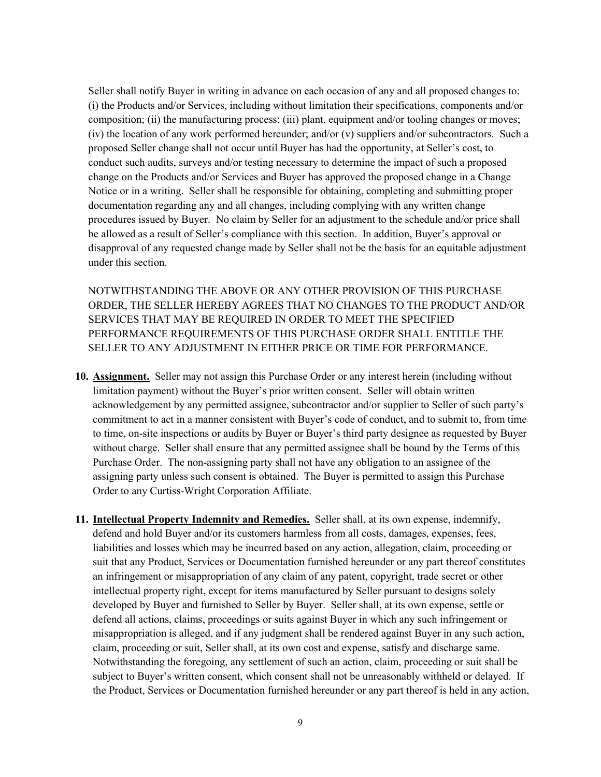Seller shall notify Buyer in writing in advance on each occasion of any and all proposed changes to: (i) the Products and/or Services, including without limitation their specifications, components and/or composition; (ii) the manufacturing process; (iii) plant, equipment and/or tooling changes or moves; (iv) the location of any work performed hereunder; and/or (v) suppliers and/or subcontractors. Such a proposed Seller change shall not occur until Buyer has had the opportunity, at Seller's cost, to conduct such audits, surveys and/or testing necessary to determine the impact of such a proposed change on the Products and/or Services and Buyer has approved the proposed change in a Change Notice or in a writing. Seller shall be responsible for obtaining, completing and submitting proper documentation regarding any and all changes, including complying with any written change procedures issued by Buyer. No claim by Seller for an adjustment to the schedule and/or price shall be allowed as a result of Seller's compliance with this section. In addition, Buyer's approval or disapproval of any requested change made by Seller shall not be the basis for an equitable adjustment under this section.

NOTWITHSTANDING THE ABOVE OR ANY OTHER PROVISION OF THIS PURCHASE ORDER, THE SELLER HEREBY AGREES THAT NO CHANGES TO THE PRODUCT AND/OR SERVICES THAT MAY BE REQUIRED IN ORDER TO MEET THE SPECIFIED PERFORMANCE REQUIREMENTS OF THIS PURCHASE ORDER SHALL ENTITLE THE SELLER TO ANY ADJUSTMENT IN EITHER PRICE OR TIME FOR PERFORMANCE.

- 10. Assignment. Seller may not assign this Purchase Order or any interest herein (including without limitation payment) without the Buyer's prior written consent. Seller will obtain written acknowledgement by any permitted assignee, subcontractor and/or supplier to Seller of such party's commitment to act in a manner consistent with Buyer's code of conduct, and to submit to, from time to time, on-site inspections or audits by Buyer or Buyer's third party designee as requested by Buyer without charge. Seller shall ensure that any permitted assignee shall be bound by the Terms of this Purchase Order. The non-assigning party shall not have any obligation to an assignee of the assigning party unless such consent is obtained. The Buyer is permitted to assign this Purchase Order to any Curtiss-Wright Corporation Affiliate.
- 11. Intellectual Property Indemnity and Remedies. Seller shall, at its own expense, indemnify, defend and hold Buyer and/or its customers harmless from all costs, damages, expenses, fees, liabilities and losses which may be incurred based on any action, allegation, claim, proceeding or suit that any Product, Services or Documentation furnished hereunder or any part thereof constitutes an infringement or misappropriation of any claim of any patent, copyright, trade secret or other intellectual property right, except for items manufactured by Seller pursuant to designs solely developed by Buyer and furnished to Seller by Buyer. Seller shall, at its own expense, settle or defend all actions, claims, proceedings or suits against Buyer in which any such infringement or misappropriation is alleged, and if any judgment shall be rendered against Buyer in any such action, claim, proceeding or suit, Seller shall, at its own cost and expense, satisfy and discharge same. Notwithstanding the foregoing, any settlement of such an action, claim, proceeding or suit shall be subject to Buyer's written consent, which consent shall not be unreasonably withheld or delayed. If the Product, Services or Documentation furnished hereunder or any part thereof is held in any action,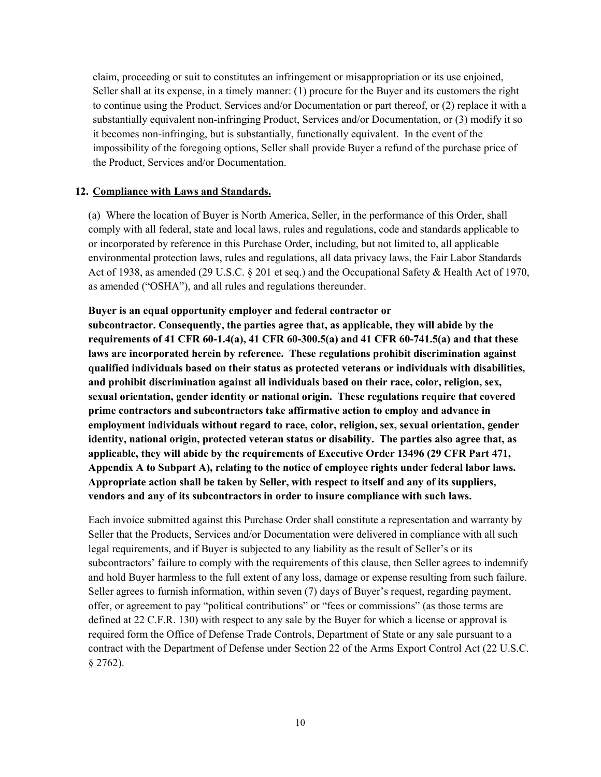claim, proceeding or suit to constitutes an infringement or misappropriation or its use enjoined, Seller shall at its expense, in a timely manner: (1) procure for the Buyer and its customers the right to continue using the Product, Services and/or Documentation or part thereof, or (2) replace it with a substantially equivalent non-infringing Product, Services and/or Documentation, or (3) modify it so it becomes non-infringing, but is substantially, functionally equivalent. In the event of the impossibility of the foregoing options, Seller shall provide Buyer a refund of the purchase price of the Product, Services and/or Documentation.

### 12. Compliance with Laws and Standards.

(a) Where the location of Buyer is North America, Seller, in the performance of this Order, shall comply with all federal, state and local laws, rules and regulations, code and standards applicable to or incorporated by reference in this Purchase Order, including, but not limited to, all applicable environmental protection laws, rules and regulations, all data privacy laws, the Fair Labor Standards Act of 1938, as amended (29 U.S.C. § 201 et seq.) and the Occupational Safety & Health Act of 1970, as amended ("OSHA"), and all rules and regulations thereunder.

### Buyer is an equal opportunity employer and federal contractor or

subcontractor. Consequently, the parties agree that, as applicable, they will abide by the requirements of 41 CFR 60-1.4(a), 41 CFR 60-300.5(a) and 41 CFR 60-741.5(a) and that these laws are incorporated herein by reference. These regulations prohibit discrimination against qualified individuals based on their status as protected veterans or individuals with disabilities, and prohibit discrimination against all individuals based on their race, color, religion, sex, sexual orientation, gender identity or national origin. These regulations require that covered prime contractors and subcontractors take affirmative action to employ and advance in employment individuals without regard to race, color, religion, sex, sexual orientation, gender identity, national origin, protected veteran status or disability. The parties also agree that, as applicable, they will abide by the requirements of Executive Order 13496 (29 CFR Part 471, Appendix A to Subpart A), relating to the notice of employee rights under federal labor laws. Appropriate action shall be taken by Seller, with respect to itself and any of its suppliers, vendors and any of its subcontractors in order to insure compliance with such laws.

Each invoice submitted against this Purchase Order shall constitute a representation and warranty by Seller that the Products, Services and/or Documentation were delivered in compliance with all such legal requirements, and if Buyer is subjected to any liability as the result of Seller's or its subcontractors' failure to comply with the requirements of this clause, then Seller agrees to indemnify and hold Buyer harmless to the full extent of any loss, damage or expense resulting from such failure. Seller agrees to furnish information, within seven (7) days of Buyer's request, regarding payment, offer, or agreement to pay "political contributions" or "fees or commissions" (as those terms are defined at 22 C.F.R. 130) with respect to any sale by the Buyer for which a license or approval is required form the Office of Defense Trade Controls, Department of State or any sale pursuant to a contract with the Department of Defense under Section 22 of the Arms Export Control Act (22 U.S.C. § 2762).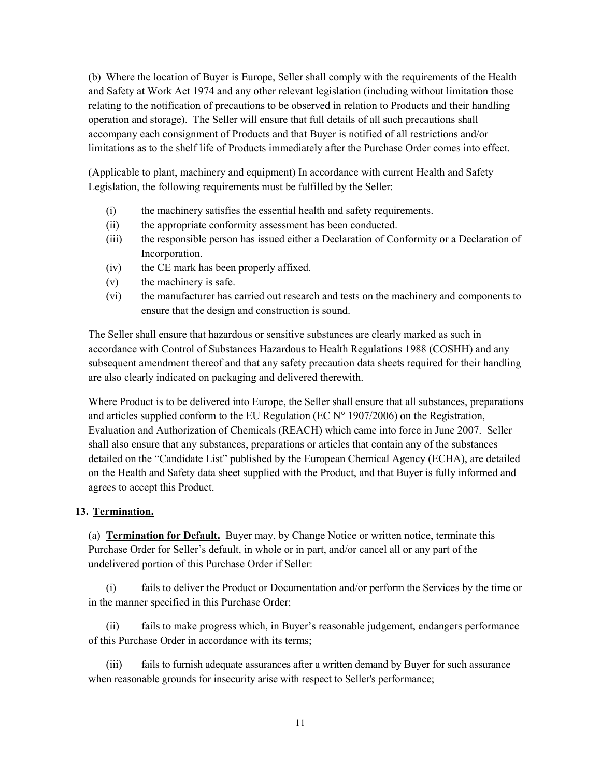(b) Where the location of Buyer is Europe, Seller shall comply with the requirements of the Health and Safety at Work Act 1974 and any other relevant legislation (including without limitation those relating to the notification of precautions to be observed in relation to Products and their handling operation and storage). The Seller will ensure that full details of all such precautions shall accompany each consignment of Products and that Buyer is notified of all restrictions and/or limitations as to the shelf life of Products immediately after the Purchase Order comes into effect.

(Applicable to plant, machinery and equipment) In accordance with current Health and Safety Legislation, the following requirements must be fulfilled by the Seller:

- (i) the machinery satisfies the essential health and safety requirements.
- (ii) the appropriate conformity assessment has been conducted.
- (iii) the responsible person has issued either a Declaration of Conformity or a Declaration of Incorporation.
- (iv) the CE mark has been properly affixed.
- (v) the machinery is safe.
- (vi) the manufacturer has carried out research and tests on the machinery and components to ensure that the design and construction is sound.

The Seller shall ensure that hazardous or sensitive substances are clearly marked as such in accordance with Control of Substances Hazardous to Health Regulations 1988 (COSHH) and any subsequent amendment thereof and that any safety precaution data sheets required for their handling are also clearly indicated on packaging and delivered therewith.

Where Product is to be delivered into Europe, the Seller shall ensure that all substances, preparations and articles supplied conform to the EU Regulation (EC  $N^{\circ}$  1907/2006) on the Registration, Evaluation and Authorization of Chemicals (REACH) which came into force in June 2007. Seller shall also ensure that any substances, preparations or articles that contain any of the substances detailed on the "Candidate List" published by the European Chemical Agency (ECHA), are detailed on the Health and Safety data sheet supplied with the Product, and that Buyer is fully informed and agrees to accept this Product.

### 13. Termination.

(a) Termination for Default. Buyer may, by Change Notice or written notice, terminate this Purchase Order for Seller's default, in whole or in part, and/or cancel all or any part of the undelivered portion of this Purchase Order if Seller:

(i) fails to deliver the Product or Documentation and/or perform the Services by the time or in the manner specified in this Purchase Order;

(ii) fails to make progress which, in Buyer's reasonable judgement, endangers performance of this Purchase Order in accordance with its terms;

(iii) fails to furnish adequate assurances after a written demand by Buyer for such assurance when reasonable grounds for insecurity arise with respect to Seller's performance;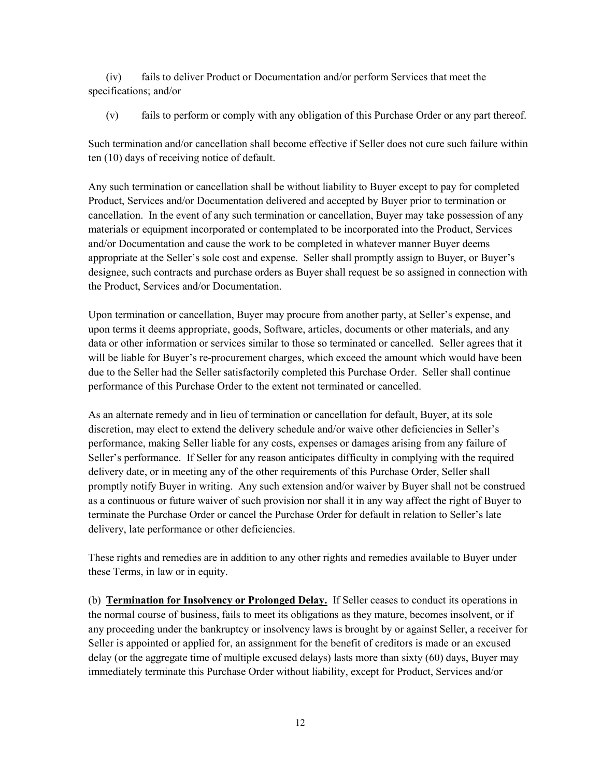(iv) fails to deliver Product or Documentation and/or perform Services that meet the specifications; and/or

(v) fails to perform or comply with any obligation of this Purchase Order or any part thereof.

Such termination and/or cancellation shall become effective if Seller does not cure such failure within ten (10) days of receiving notice of default.

Any such termination or cancellation shall be without liability to Buyer except to pay for completed Product, Services and/or Documentation delivered and accepted by Buyer prior to termination or cancellation. In the event of any such termination or cancellation, Buyer may take possession of any materials or equipment incorporated or contemplated to be incorporated into the Product, Services and/or Documentation and cause the work to be completed in whatever manner Buyer deems appropriate at the Seller's sole cost and expense. Seller shall promptly assign to Buyer, or Buyer's designee, such contracts and purchase orders as Buyer shall request be so assigned in connection with the Product, Services and/or Documentation.

Upon termination or cancellation, Buyer may procure from another party, at Seller's expense, and upon terms it deems appropriate, goods, Software, articles, documents or other materials, and any data or other information or services similar to those so terminated or cancelled. Seller agrees that it will be liable for Buyer's re-procurement charges, which exceed the amount which would have been due to the Seller had the Seller satisfactorily completed this Purchase Order. Seller shall continue performance of this Purchase Order to the extent not terminated or cancelled.

As an alternate remedy and in lieu of termination or cancellation for default, Buyer, at its sole discretion, may elect to extend the delivery schedule and/or waive other deficiencies in Seller's performance, making Seller liable for any costs, expenses or damages arising from any failure of Seller's performance. If Seller for any reason anticipates difficulty in complying with the required delivery date, or in meeting any of the other requirements of this Purchase Order, Seller shall promptly notify Buyer in writing. Any such extension and/or waiver by Buyer shall not be construed as a continuous or future waiver of such provision nor shall it in any way affect the right of Buyer to terminate the Purchase Order or cancel the Purchase Order for default in relation to Seller's late delivery, late performance or other deficiencies.

These rights and remedies are in addition to any other rights and remedies available to Buyer under these Terms, in law or in equity.

(b) Termination for Insolvency or Prolonged Delay. If Seller ceases to conduct its operations in the normal course of business, fails to meet its obligations as they mature, becomes insolvent, or if any proceeding under the bankruptcy or insolvency laws is brought by or against Seller, a receiver for Seller is appointed or applied for, an assignment for the benefit of creditors is made or an excused delay (or the aggregate time of multiple excused delays) lasts more than sixty (60) days, Buyer may immediately terminate this Purchase Order without liability, except for Product, Services and/or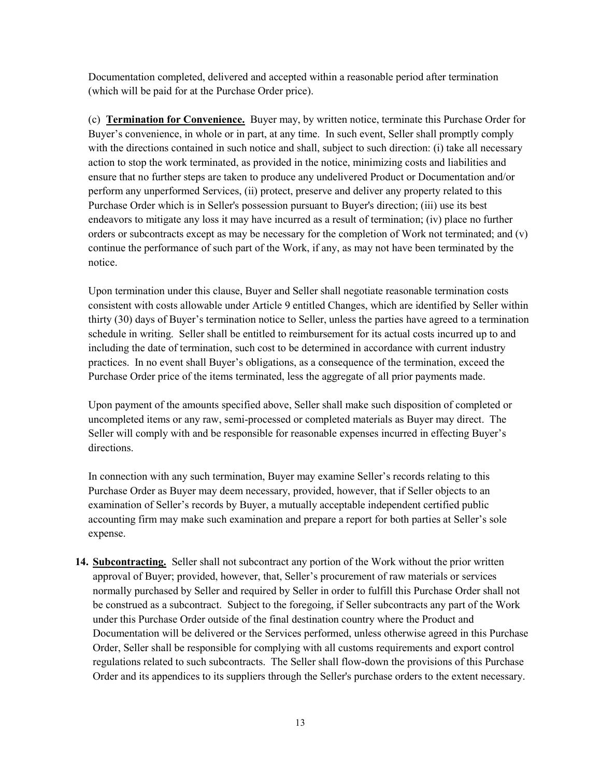Documentation completed, delivered and accepted within a reasonable period after termination (which will be paid for at the Purchase Order price).

(c) Termination for Convenience. Buyer may, by written notice, terminate this Purchase Order for Buyer's convenience, in whole or in part, at any time. In such event, Seller shall promptly comply with the directions contained in such notice and shall, subject to such direction: (i) take all necessary action to stop the work terminated, as provided in the notice, minimizing costs and liabilities and ensure that no further steps are taken to produce any undelivered Product or Documentation and/or perform any unperformed Services, (ii) protect, preserve and deliver any property related to this Purchase Order which is in Seller's possession pursuant to Buyer's direction; (iii) use its best endeavors to mitigate any loss it may have incurred as a result of termination; (iv) place no further orders or subcontracts except as may be necessary for the completion of Work not terminated; and (v) continue the performance of such part of the Work, if any, as may not have been terminated by the notice.

Upon termination under this clause, Buyer and Seller shall negotiate reasonable termination costs consistent with costs allowable under Article 9 entitled Changes, which are identified by Seller within thirty (30) days of Buyer's termination notice to Seller, unless the parties have agreed to a termination schedule in writing. Seller shall be entitled to reimbursement for its actual costs incurred up to and including the date of termination, such cost to be determined in accordance with current industry practices. In no event shall Buyer's obligations, as a consequence of the termination, exceed the Purchase Order price of the items terminated, less the aggregate of all prior payments made.

Upon payment of the amounts specified above, Seller shall make such disposition of completed or uncompleted items or any raw, semi-processed or completed materials as Buyer may direct. The Seller will comply with and be responsible for reasonable expenses incurred in effecting Buyer's directions.

In connection with any such termination, Buyer may examine Seller's records relating to this Purchase Order as Buyer may deem necessary, provided, however, that if Seller objects to an examination of Seller's records by Buyer, a mutually acceptable independent certified public accounting firm may make such examination and prepare a report for both parties at Seller's sole expense.

14. Subcontracting. Seller shall not subcontract any portion of the Work without the prior written approval of Buyer; provided, however, that, Seller's procurement of raw materials or services normally purchased by Seller and required by Seller in order to fulfill this Purchase Order shall not be construed as a subcontract. Subject to the foregoing, if Seller subcontracts any part of the Work under this Purchase Order outside of the final destination country where the Product and Documentation will be delivered or the Services performed, unless otherwise agreed in this Purchase Order, Seller shall be responsible for complying with all customs requirements and export control regulations related to such subcontracts. The Seller shall flow-down the provisions of this Purchase Order and its appendices to its suppliers through the Seller's purchase orders to the extent necessary.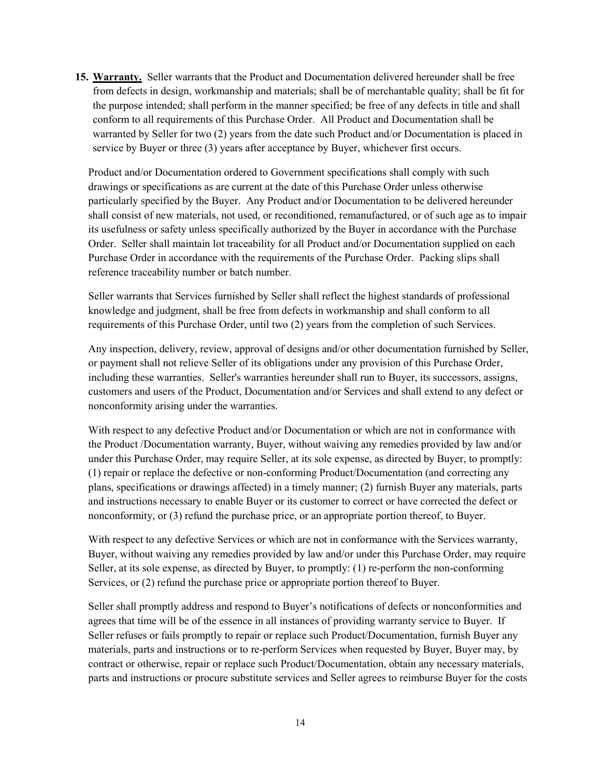15. Warranty. Seller warrants that the Product and Documentation delivered hereunder shall be free from defects in design, workmanship and materials; shall be of merchantable quality; shall be fit for the purpose intended; shall perform in the manner specified; be free of any defects in title and shall conform to all requirements of this Purchase Order. All Product and Documentation shall be warranted by Seller for two (2) years from the date such Product and/or Documentation is placed in service by Buyer or three (3) years after acceptance by Buyer, whichever first occurs.

Product and/or Documentation ordered to Government specifications shall comply with such drawings or specifications as are current at the date of this Purchase Order unless otherwise particularly specified by the Buyer. Any Product and/or Documentation to be delivered hereunder shall consist of new materials, not used, or reconditioned, remanufactured, or of such age as to impair its usefulness or safety unless specifically authorized by the Buyer in accordance with the Purchase Order. Seller shall maintain lot traceability for all Product and/or Documentation supplied on each Purchase Order in accordance with the requirements of the Purchase Order. Packing slips shall reference traceability number or batch number.

Seller warrants that Services furnished by Seller shall reflect the highest standards of professional knowledge and judgment, shall be free from defects in workmanship and shall conform to all requirements of this Purchase Order, until two (2) years from the completion of such Services.

Any inspection, delivery, review, approval of designs and/or other documentation furnished by Seller, or payment shall not relieve Seller of its obligations under any provision of this Purchase Order, including these warranties. Seller's warranties hereunder shall run to Buyer, its successors, assigns, customers and users of the Product, Documentation and/or Services and shall extend to any defect or nonconformity arising under the warranties.

With respect to any defective Product and/or Documentation or which are not in conformance with the Product /Documentation warranty, Buyer, without waiving any remedies provided by law and/or under this Purchase Order, may require Seller, at its sole expense, as directed by Buyer, to promptly: (1) repair or replace the defective or non-conforming Product/Documentation (and correcting any plans, specifications or drawings affected) in a timely manner; (2) furnish Buyer any materials, parts and instructions necessary to enable Buyer or its customer to correct or have corrected the defect or nonconformity, or (3) refund the purchase price, or an appropriate portion thereof, to Buyer.

With respect to any defective Services or which are not in conformance with the Services warranty, Buyer, without waiving any remedies provided by law and/or under this Purchase Order, may require Seller, at its sole expense, as directed by Buyer, to promptly: (1) re-perform the non-conforming Services, or (2) refund the purchase price or appropriate portion thereof to Buyer.

Seller shall promptly address and respond to Buyer's notifications of defects or nonconformities and agrees that time will be of the essence in all instances of providing warranty service to Buyer. If Seller refuses or fails promptly to repair or replace such Product/Documentation, furnish Buyer any materials, parts and instructions or to re-perform Services when requested by Buyer, Buyer may, by contract or otherwise, repair or replace such Product/Documentation, obtain any necessary materials, parts and instructions or procure substitute services and Seller agrees to reimburse Buyer for the costs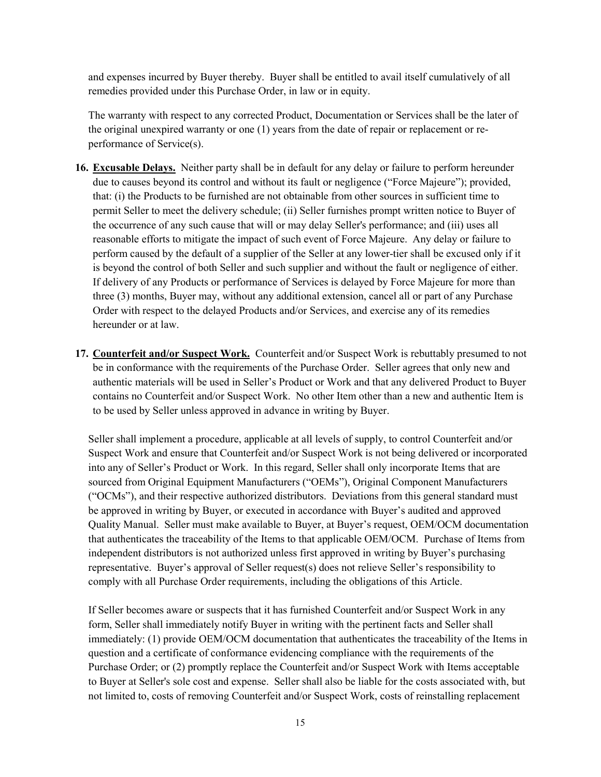and expenses incurred by Buyer thereby. Buyer shall be entitled to avail itself cumulatively of all remedies provided under this Purchase Order, in law or in equity.

The warranty with respect to any corrected Product, Documentation or Services shall be the later of the original unexpired warranty or one (1) years from the date of repair or replacement or reperformance of Service(s).

- 16. Excusable Delays. Neither party shall be in default for any delay or failure to perform hereunder due to causes beyond its control and without its fault or negligence ("Force Majeure"); provided, that: (i) the Products to be furnished are not obtainable from other sources in sufficient time to permit Seller to meet the delivery schedule; (ii) Seller furnishes prompt written notice to Buyer of the occurrence of any such cause that will or may delay Seller's performance; and (iii) uses all reasonable efforts to mitigate the impact of such event of Force Majeure. Any delay or failure to perform caused by the default of a supplier of the Seller at any lower-tier shall be excused only if it is beyond the control of both Seller and such supplier and without the fault or negligence of either. If delivery of any Products or performance of Services is delayed by Force Majeure for more than three (3) months, Buyer may, without any additional extension, cancel all or part of any Purchase Order with respect to the delayed Products and/or Services, and exercise any of its remedies hereunder or at law.
- 17. Counterfeit and/or Suspect Work. Counterfeit and/or Suspect Work is rebuttably presumed to not be in conformance with the requirements of the Purchase Order. Seller agrees that only new and authentic materials will be used in Seller's Product or Work and that any delivered Product to Buyer contains no Counterfeit and/or Suspect Work. No other Item other than a new and authentic Item is to be used by Seller unless approved in advance in writing by Buyer.

Seller shall implement a procedure, applicable at all levels of supply, to control Counterfeit and/or Suspect Work and ensure that Counterfeit and/or Suspect Work is not being delivered or incorporated into any of Seller's Product or Work. In this regard, Seller shall only incorporate Items that are sourced from Original Equipment Manufacturers ("OEMs"), Original Component Manufacturers ("OCMs"), and their respective authorized distributors. Deviations from this general standard must be approved in writing by Buyer, or executed in accordance with Buyer's audited and approved Quality Manual. Seller must make available to Buyer, at Buyer's request, OEM/OCM documentation that authenticates the traceability of the Items to that applicable OEM/OCM. Purchase of Items from independent distributors is not authorized unless first approved in writing by Buyer's purchasing representative. Buyer's approval of Seller request(s) does not relieve Seller's responsibility to comply with all Purchase Order requirements, including the obligations of this Article.

If Seller becomes aware or suspects that it has furnished Counterfeit and/or Suspect Work in any form, Seller shall immediately notify Buyer in writing with the pertinent facts and Seller shall immediately: (1) provide OEM/OCM documentation that authenticates the traceability of the Items in question and a certificate of conformance evidencing compliance with the requirements of the Purchase Order; or (2) promptly replace the Counterfeit and/or Suspect Work with Items acceptable to Buyer at Seller's sole cost and expense. Seller shall also be liable for the costs associated with, but not limited to, costs of removing Counterfeit and/or Suspect Work, costs of reinstalling replacement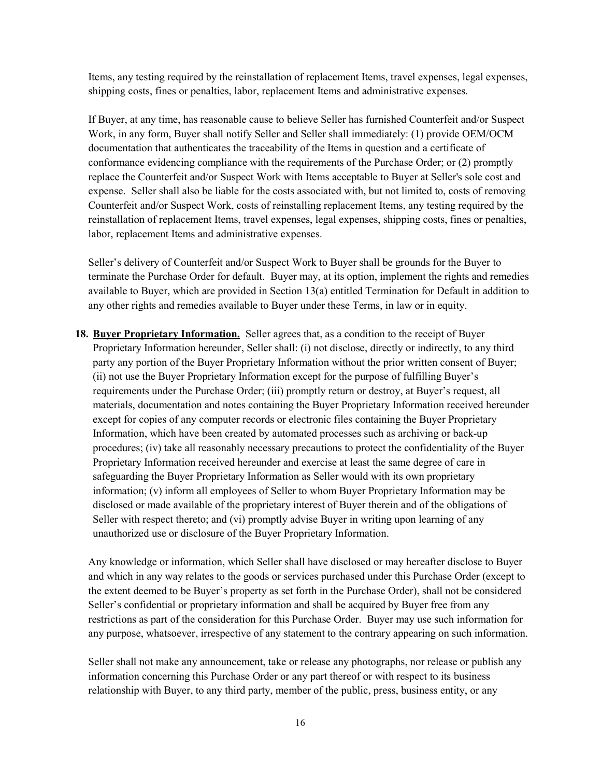Items, any testing required by the reinstallation of replacement Items, travel expenses, legal expenses, shipping costs, fines or penalties, labor, replacement Items and administrative expenses.

If Buyer, at any time, has reasonable cause to believe Seller has furnished Counterfeit and/or Suspect Work, in any form, Buyer shall notify Seller and Seller shall immediately: (1) provide OEM/OCM documentation that authenticates the traceability of the Items in question and a certificate of conformance evidencing compliance with the requirements of the Purchase Order; or (2) promptly replace the Counterfeit and/or Suspect Work with Items acceptable to Buyer at Seller's sole cost and expense. Seller shall also be liable for the costs associated with, but not limited to, costs of removing Counterfeit and/or Suspect Work, costs of reinstalling replacement Items, any testing required by the reinstallation of replacement Items, travel expenses, legal expenses, shipping costs, fines or penalties, labor, replacement Items and administrative expenses.

Seller's delivery of Counterfeit and/or Suspect Work to Buyer shall be grounds for the Buyer to terminate the Purchase Order for default. Buyer may, at its option, implement the rights and remedies available to Buyer, which are provided in Section 13(a) entitled Termination for Default in addition to any other rights and remedies available to Buyer under these Terms, in law or in equity.

18. Buver Proprietary Information. Seller agrees that, as a condition to the receipt of Buyer Proprietary Information hereunder, Seller shall: (i) not disclose, directly or indirectly, to any third party any portion of the Buyer Proprietary Information without the prior written consent of Buyer; (ii) not use the Buyer Proprietary Information except for the purpose of fulfilling Buyer's requirements under the Purchase Order; (iii) promptly return or destroy, at Buyer's request, all materials, documentation and notes containing the Buyer Proprietary Information received hereunder except for copies of any computer records or electronic files containing the Buyer Proprietary Information, which have been created by automated processes such as archiving or back-up procedures; (iv) take all reasonably necessary precautions to protect the confidentiality of the Buyer Proprietary Information received hereunder and exercise at least the same degree of care in safeguarding the Buyer Proprietary Information as Seller would with its own proprietary information; (v) inform all employees of Seller to whom Buyer Proprietary Information may be disclosed or made available of the proprietary interest of Buyer therein and of the obligations of Seller with respect thereto; and (vi) promptly advise Buyer in writing upon learning of any unauthorized use or disclosure of the Buyer Proprietary Information.

Any knowledge or information, which Seller shall have disclosed or may hereafter disclose to Buyer and which in any way relates to the goods or services purchased under this Purchase Order (except to the extent deemed to be Buyer's property as set forth in the Purchase Order), shall not be considered Seller's confidential or proprietary information and shall be acquired by Buyer free from any restrictions as part of the consideration for this Purchase Order. Buyer may use such information for any purpose, whatsoever, irrespective of any statement to the contrary appearing on such information.

Seller shall not make any announcement, take or release any photographs, nor release or publish any information concerning this Purchase Order or any part thereof or with respect to its business relationship with Buyer, to any third party, member of the public, press, business entity, or any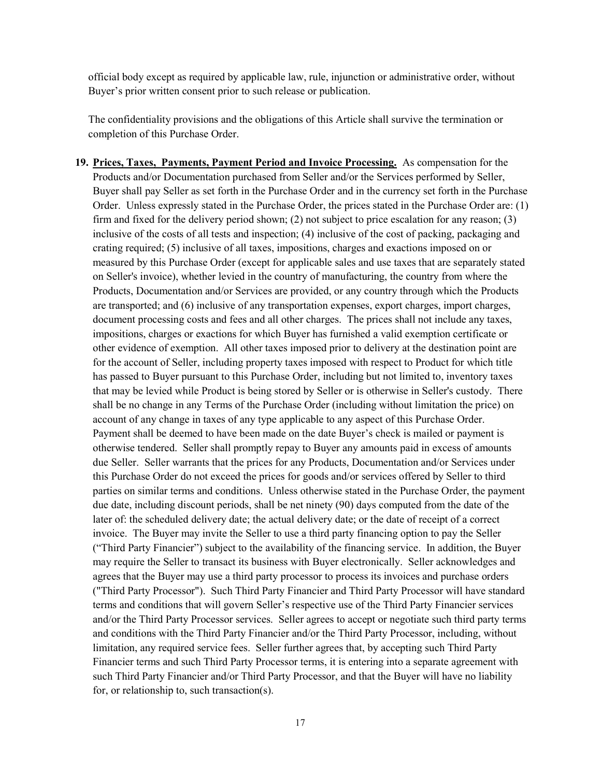official body except as required by applicable law, rule, injunction or administrative order, without Buyer's prior written consent prior to such release or publication.

The confidentiality provisions and the obligations of this Article shall survive the termination or completion of this Purchase Order.

19. Prices, Taxes, Payments, Payment Period and Invoice Processing. As compensation for the Products and/or Documentation purchased from Seller and/or the Services performed by Seller, Buyer shall pay Seller as set forth in the Purchase Order and in the currency set forth in the Purchase Order. Unless expressly stated in the Purchase Order, the prices stated in the Purchase Order are: (1) firm and fixed for the delivery period shown; (2) not subject to price escalation for any reason; (3) inclusive of the costs of all tests and inspection; (4) inclusive of the cost of packing, packaging and crating required; (5) inclusive of all taxes, impositions, charges and exactions imposed on or measured by this Purchase Order (except for applicable sales and use taxes that are separately stated on Seller's invoice), whether levied in the country of manufacturing, the country from where the Products, Documentation and/or Services are provided, or any country through which the Products are transported; and (6) inclusive of any transportation expenses, export charges, import charges, document processing costs and fees and all other charges. The prices shall not include any taxes, impositions, charges or exactions for which Buyer has furnished a valid exemption certificate or other evidence of exemption. All other taxes imposed prior to delivery at the destination point are for the account of Seller, including property taxes imposed with respect to Product for which title has passed to Buyer pursuant to this Purchase Order, including but not limited to, inventory taxes that may be levied while Product is being stored by Seller or is otherwise in Seller's custody. There shall be no change in any Terms of the Purchase Order (including without limitation the price) on account of any change in taxes of any type applicable to any aspect of this Purchase Order. Payment shall be deemed to have been made on the date Buyer's check is mailed or payment is otherwise tendered. Seller shall promptly repay to Buyer any amounts paid in excess of amounts due Seller. Seller warrants that the prices for any Products, Documentation and/or Services under this Purchase Order do not exceed the prices for goods and/or services offered by Seller to third parties on similar terms and conditions. Unless otherwise stated in the Purchase Order, the payment due date, including discount periods, shall be net ninety (90) days computed from the date of the later of: the scheduled delivery date; the actual delivery date; or the date of receipt of a correct invoice. The Buyer may invite the Seller to use a third party financing option to pay the Seller ("Third Party Financier") subject to the availability of the financing service. In addition, the Buyer may require the Seller to transact its business with Buyer electronically. Seller acknowledges and agrees that the Buyer may use a third party processor to process its invoices and purchase orders ("Third Party Processor"). Such Third Party Financier and Third Party Processor will have standard terms and conditions that will govern Seller's respective use of the Third Party Financier services and/or the Third Party Processor services. Seller agrees to accept or negotiate such third party terms and conditions with the Third Party Financier and/or the Third Party Processor, including, without limitation, any required service fees. Seller further agrees that, by accepting such Third Party Financier terms and such Third Party Processor terms, it is entering into a separate agreement with such Third Party Financier and/or Third Party Processor, and that the Buyer will have no liability for, or relationship to, such transaction(s).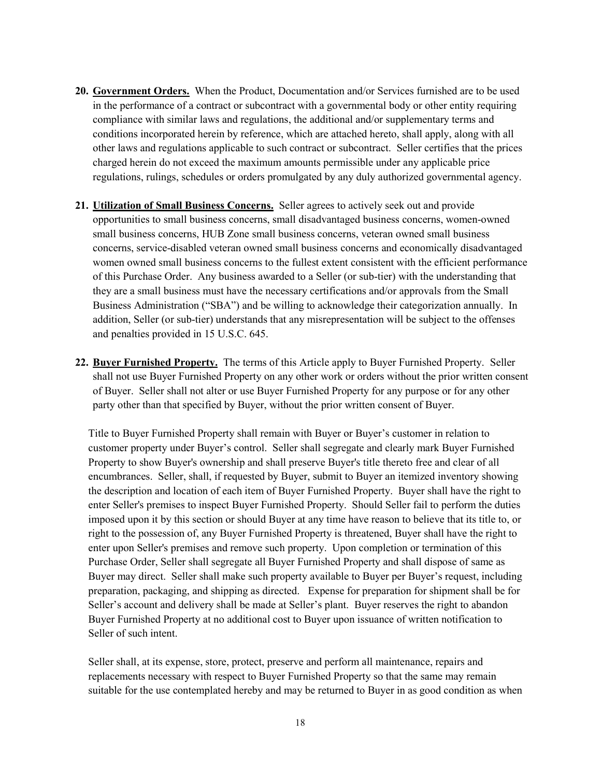- 20. Government Orders. When the Product, Documentation and/or Services furnished are to be used in the performance of a contract or subcontract with a governmental body or other entity requiring compliance with similar laws and regulations, the additional and/or supplementary terms and conditions incorporated herein by reference, which are attached hereto, shall apply, along with all other laws and regulations applicable to such contract or subcontract. Seller certifies that the prices charged herein do not exceed the maximum amounts permissible under any applicable price regulations, rulings, schedules or orders promulgated by any duly authorized governmental agency.
- 21. Utilization of Small Business Concerns. Seller agrees to actively seek out and provide opportunities to small business concerns, small disadvantaged business concerns, women-owned small business concerns, HUB Zone small business concerns, veteran owned small business concerns, service-disabled veteran owned small business concerns and economically disadvantaged women owned small business concerns to the fullest extent consistent with the efficient performance of this Purchase Order. Any business awarded to a Seller (or sub-tier) with the understanding that they are a small business must have the necessary certifications and/or approvals from the Small Business Administration ("SBA") and be willing to acknowledge their categorization annually. In addition, Seller (or sub-tier) understands that any misrepresentation will be subject to the offenses and penalties provided in 15 U.S.C. 645.
- 22. Buyer Furnished Property. The terms of this Article apply to Buyer Furnished Property. Seller shall not use Buyer Furnished Property on any other work or orders without the prior written consent of Buyer. Seller shall not alter or use Buyer Furnished Property for any purpose or for any other party other than that specified by Buyer, without the prior written consent of Buyer.

Title to Buyer Furnished Property shall remain with Buyer or Buyer's customer in relation to customer property under Buyer's control. Seller shall segregate and clearly mark Buyer Furnished Property to show Buyer's ownership and shall preserve Buyer's title thereto free and clear of all encumbrances. Seller, shall, if requested by Buyer, submit to Buyer an itemized inventory showing the description and location of each item of Buyer Furnished Property. Buyer shall have the right to enter Seller's premises to inspect Buyer Furnished Property. Should Seller fail to perform the duties imposed upon it by this section or should Buyer at any time have reason to believe that its title to, or right to the possession of, any Buyer Furnished Property is threatened, Buyer shall have the right to enter upon Seller's premises and remove such property. Upon completion or termination of this Purchase Order, Seller shall segregate all Buyer Furnished Property and shall dispose of same as Buyer may direct. Seller shall make such property available to Buyer per Buyer's request, including preparation, packaging, and shipping as directed. Expense for preparation for shipment shall be for Seller's account and delivery shall be made at Seller's plant. Buyer reserves the right to abandon Buyer Furnished Property at no additional cost to Buyer upon issuance of written notification to Seller of such intent.

Seller shall, at its expense, store, protect, preserve and perform all maintenance, repairs and replacements necessary with respect to Buyer Furnished Property so that the same may remain suitable for the use contemplated hereby and may be returned to Buyer in as good condition as when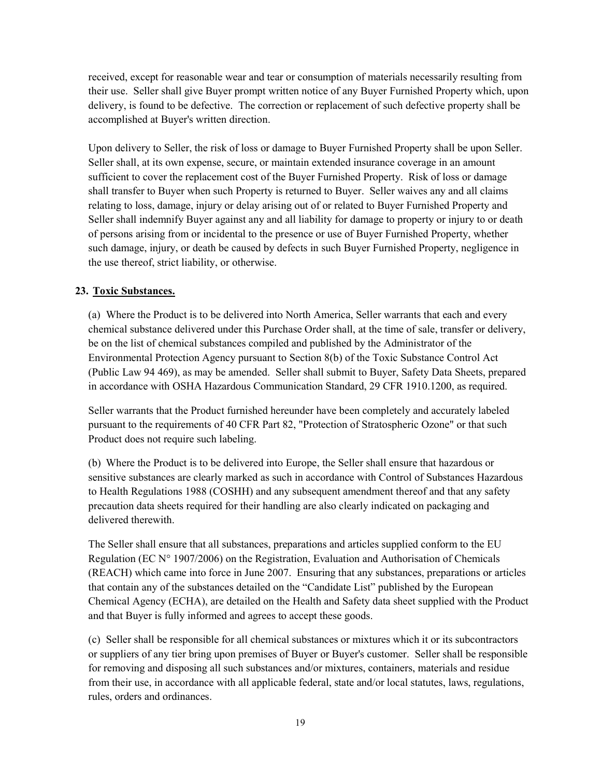received, except for reasonable wear and tear or consumption of materials necessarily resulting from their use. Seller shall give Buyer prompt written notice of any Buyer Furnished Property which, upon delivery, is found to be defective. The correction or replacement of such defective property shall be accomplished at Buyer's written direction.

Upon delivery to Seller, the risk of loss or damage to Buyer Furnished Property shall be upon Seller. Seller shall, at its own expense, secure, or maintain extended insurance coverage in an amount sufficient to cover the replacement cost of the Buyer Furnished Property. Risk of loss or damage shall transfer to Buyer when such Property is returned to Buyer. Seller waives any and all claims relating to loss, damage, injury or delay arising out of or related to Buyer Furnished Property and Seller shall indemnify Buyer against any and all liability for damage to property or injury to or death of persons arising from or incidental to the presence or use of Buyer Furnished Property, whether such damage, injury, or death be caused by defects in such Buyer Furnished Property, negligence in the use thereof, strict liability, or otherwise.

# 23. Toxic Substances.

(a) Where the Product is to be delivered into North America, Seller warrants that each and every chemical substance delivered under this Purchase Order shall, at the time of sale, transfer or delivery, be on the list of chemical substances compiled and published by the Administrator of the Environmental Protection Agency pursuant to Section 8(b) of the Toxic Substance Control Act (Public Law 94 469), as may be amended. Seller shall submit to Buyer, Safety Data Sheets, prepared in accordance with OSHA Hazardous Communication Standard, 29 CFR 1910.1200, as required.

Seller warrants that the Product furnished hereunder have been completely and accurately labeled pursuant to the requirements of 40 CFR Part 82, "Protection of Stratospheric Ozone" or that such Product does not require such labeling.

(b) Where the Product is to be delivered into Europe, the Seller shall ensure that hazardous or sensitive substances are clearly marked as such in accordance with Control of Substances Hazardous to Health Regulations 1988 (COSHH) and any subsequent amendment thereof and that any safety precaution data sheets required for their handling are also clearly indicated on packaging and delivered therewith.

The Seller shall ensure that all substances, preparations and articles supplied conform to the EU Regulation (EC  $N^{\circ}$  1907/2006) on the Registration, Evaluation and Authorisation of Chemicals (REACH) which came into force in June 2007. Ensuring that any substances, preparations or articles that contain any of the substances detailed on the "Candidate List" published by the European Chemical Agency (ECHA), are detailed on the Health and Safety data sheet supplied with the Product and that Buyer is fully informed and agrees to accept these goods.

(c) Seller shall be responsible for all chemical substances or mixtures which it or its subcontractors or suppliers of any tier bring upon premises of Buyer or Buyer's customer. Seller shall be responsible for removing and disposing all such substances and/or mixtures, containers, materials and residue from their use, in accordance with all applicable federal, state and/or local statutes, laws, regulations, rules, orders and ordinances.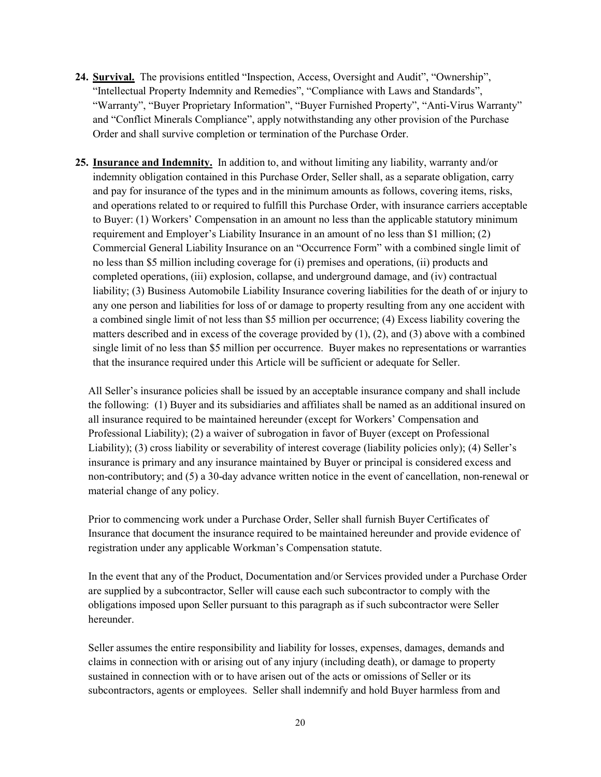- 24. Survival. The provisions entitled "Inspection, Access, Oversight and Audit", "Ownership", "Intellectual Property Indemnity and Remedies", "Compliance with Laws and Standards", "Warranty", "Buyer Proprietary Information", "Buyer Furnished Property", "Anti-Virus Warranty" and "Conflict Minerals Compliance", apply notwithstanding any other provision of the Purchase Order and shall survive completion or termination of the Purchase Order.
- 25. Insurance and Indemnity. In addition to, and without limiting any liability, warranty and/or indemnity obligation contained in this Purchase Order, Seller shall, as a separate obligation, carry and pay for insurance of the types and in the minimum amounts as follows, covering items, risks, and operations related to or required to fulfill this Purchase Order, with insurance carriers acceptable to Buyer: (1) Workers' Compensation in an amount no less than the applicable statutory minimum requirement and Employer's Liability Insurance in an amount of no less than \$1 million; (2) Commercial General Liability Insurance on an "Occurrence Form" with a combined single limit of no less than \$5 million including coverage for (i) premises and operations, (ii) products and completed operations, (iii) explosion, collapse, and underground damage, and (iv) contractual liability; (3) Business Automobile Liability Insurance covering liabilities for the death of or injury to any one person and liabilities for loss of or damage to property resulting from any one accident with a combined single limit of not less than \$5 million per occurrence; (4) Excess liability covering the matters described and in excess of the coverage provided by  $(1)$ ,  $(2)$ , and  $(3)$  above with a combined single limit of no less than \$5 million per occurrence. Buyer makes no representations or warranties that the insurance required under this Article will be sufficient or adequate for Seller.

All Seller's insurance policies shall be issued by an acceptable insurance company and shall include the following: (1) Buyer and its subsidiaries and affiliates shall be named as an additional insured on all insurance required to be maintained hereunder (except for Workers' Compensation and Professional Liability); (2) a waiver of subrogation in favor of Buyer (except on Professional Liability); (3) cross liability or severability of interest coverage (liability policies only); (4) Seller's insurance is primary and any insurance maintained by Buyer or principal is considered excess and non-contributory; and (5) a 30-day advance written notice in the event of cancellation, non-renewal or material change of any policy.

Prior to commencing work under a Purchase Order, Seller shall furnish Buyer Certificates of Insurance that document the insurance required to be maintained hereunder and provide evidence of registration under any applicable Workman's Compensation statute.

In the event that any of the Product, Documentation and/or Services provided under a Purchase Order are supplied by a subcontractor, Seller will cause each such subcontractor to comply with the obligations imposed upon Seller pursuant to this paragraph as if such subcontractor were Seller hereunder.

Seller assumes the entire responsibility and liability for losses, expenses, damages, demands and claims in connection with or arising out of any injury (including death), or damage to property sustained in connection with or to have arisen out of the acts or omissions of Seller or its subcontractors, agents or employees. Seller shall indemnify and hold Buyer harmless from and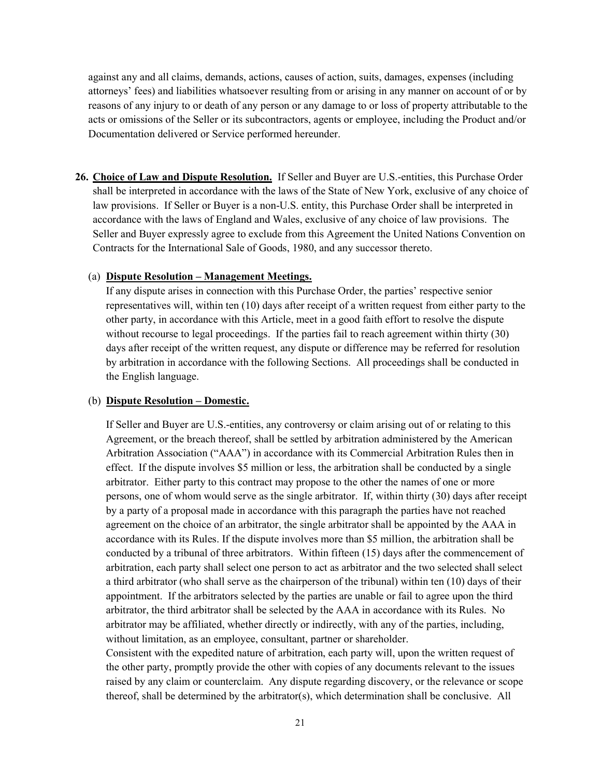against any and all claims, demands, actions, causes of action, suits, damages, expenses (including attorneys' fees) and liabilities whatsoever resulting from or arising in any manner on account of or by reasons of any injury to or death of any person or any damage to or loss of property attributable to the acts or omissions of the Seller or its subcontractors, agents or employee, including the Product and/or Documentation delivered or Service performed hereunder.

26. Choice of Law and Dispute Resolution. If Seller and Buyer are U.S.-entities, this Purchase Order shall be interpreted in accordance with the laws of the State of New York, exclusive of any choice of law provisions. If Seller or Buyer is a non-U.S. entity, this Purchase Order shall be interpreted in accordance with the laws of England and Wales, exclusive of any choice of law provisions. The Seller and Buyer expressly agree to exclude from this Agreement the United Nations Convention on Contracts for the International Sale of Goods, 1980, and any successor thereto.

#### (a) Dispute Resolution – Management Meetings.

If any dispute arises in connection with this Purchase Order, the parties' respective senior representatives will, within ten (10) days after receipt of a written request from either party to the other party, in accordance with this Article, meet in a good faith effort to resolve the dispute without recourse to legal proceedings. If the parties fail to reach agreement within thirty (30) days after receipt of the written request, any dispute or difference may be referred for resolution by arbitration in accordance with the following Sections. All proceedings shall be conducted in the English language.

#### (b) Dispute Resolution – Domestic.

If Seller and Buyer are U.S.-entities, any controversy or claim arising out of or relating to this Agreement, or the breach thereof, shall be settled by arbitration administered by the American Arbitration Association ("AAA") in accordance with its Commercial Arbitration Rules then in effect. If the dispute involves \$5 million or less, the arbitration shall be conducted by a single arbitrator. Either party to this contract may propose to the other the names of one or more persons, one of whom would serve as the single arbitrator. If, within thirty (30) days after receipt by a party of a proposal made in accordance with this paragraph the parties have not reached agreement on the choice of an arbitrator, the single arbitrator shall be appointed by the AAA in accordance with its Rules. If the dispute involves more than \$5 million, the arbitration shall be conducted by a tribunal of three arbitrators. Within fifteen (15) days after the commencement of arbitration, each party shall select one person to act as arbitrator and the two selected shall select a third arbitrator (who shall serve as the chairperson of the tribunal) within ten (10) days of their appointment. If the arbitrators selected by the parties are unable or fail to agree upon the third arbitrator, the third arbitrator shall be selected by the AAA in accordance with its Rules. No arbitrator may be affiliated, whether directly or indirectly, with any of the parties, including, without limitation, as an employee, consultant, partner or shareholder.

Consistent with the expedited nature of arbitration, each party will, upon the written request of the other party, promptly provide the other with copies of any documents relevant to the issues raised by any claim or counterclaim. Any dispute regarding discovery, or the relevance or scope thereof, shall be determined by the arbitrator(s), which determination shall be conclusive. All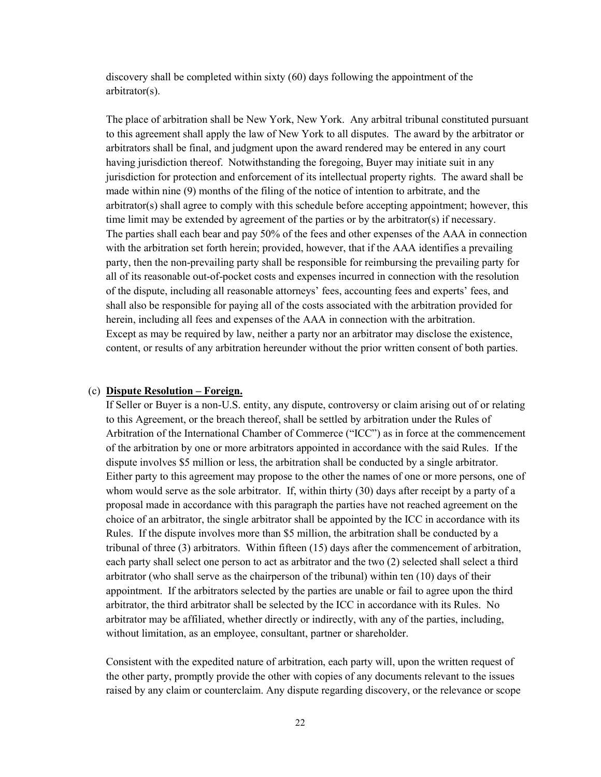discovery shall be completed within sixty (60) days following the appointment of the arbitrator(s).

The place of arbitration shall be New York, New York. Any arbitral tribunal constituted pursuant to this agreement shall apply the law of New York to all disputes. The award by the arbitrator or arbitrators shall be final, and judgment upon the award rendered may be entered in any court having jurisdiction thereof. Notwithstanding the foregoing, Buyer may initiate suit in any jurisdiction for protection and enforcement of its intellectual property rights. The award shall be made within nine (9) months of the filing of the notice of intention to arbitrate, and the arbitrator(s) shall agree to comply with this schedule before accepting appointment; however, this time limit may be extended by agreement of the parties or by the arbitrator(s) if necessary. The parties shall each bear and pay 50% of the fees and other expenses of the AAA in connection with the arbitration set forth herein; provided, however, that if the AAA identifies a prevailing party, then the non-prevailing party shall be responsible for reimbursing the prevailing party for all of its reasonable out-of-pocket costs and expenses incurred in connection with the resolution of the dispute, including all reasonable attorneys' fees, accounting fees and experts' fees, and shall also be responsible for paying all of the costs associated with the arbitration provided for herein, including all fees and expenses of the AAA in connection with the arbitration. Except as may be required by law, neither a party nor an arbitrator may disclose the existence, content, or results of any arbitration hereunder without the prior written consent of both parties.

#### (c) Dispute Resolution – Foreign.

If Seller or Buyer is a non-U.S. entity, any dispute, controversy or claim arising out of or relating to this Agreement, or the breach thereof, shall be settled by arbitration under the Rules of Arbitration of the International Chamber of Commerce ("ICC") as in force at the commencement of the arbitration by one or more arbitrators appointed in accordance with the said Rules. If the dispute involves \$5 million or less, the arbitration shall be conducted by a single arbitrator. Either party to this agreement may propose to the other the names of one or more persons, one of whom would serve as the sole arbitrator. If, within thirty (30) days after receipt by a party of a proposal made in accordance with this paragraph the parties have not reached agreement on the choice of an arbitrator, the single arbitrator shall be appointed by the ICC in accordance with its Rules. If the dispute involves more than \$5 million, the arbitration shall be conducted by a tribunal of three (3) arbitrators. Within fifteen (15) days after the commencement of arbitration, each party shall select one person to act as arbitrator and the two (2) selected shall select a third arbitrator (who shall serve as the chairperson of the tribunal) within ten (10) days of their appointment. If the arbitrators selected by the parties are unable or fail to agree upon the third arbitrator, the third arbitrator shall be selected by the ICC in accordance with its Rules. No arbitrator may be affiliated, whether directly or indirectly, with any of the parties, including, without limitation, as an employee, consultant, partner or shareholder.

Consistent with the expedited nature of arbitration, each party will, upon the written request of the other party, promptly provide the other with copies of any documents relevant to the issues raised by any claim or counterclaim. Any dispute regarding discovery, or the relevance or scope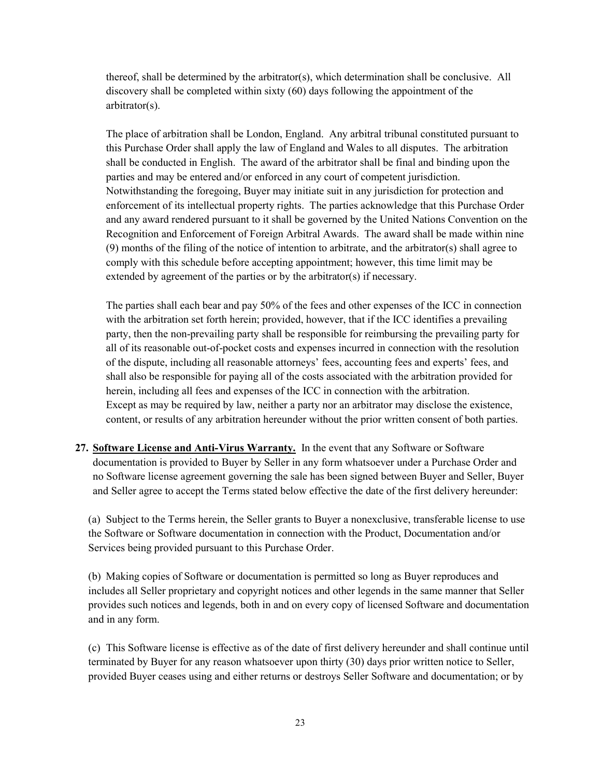thereof, shall be determined by the arbitrator(s), which determination shall be conclusive. All discovery shall be completed within sixty (60) days following the appointment of the arbitrator(s).

The place of arbitration shall be London, England. Any arbitral tribunal constituted pursuant to this Purchase Order shall apply the law of England and Wales to all disputes. The arbitration shall be conducted in English. The award of the arbitrator shall be final and binding upon the parties and may be entered and/or enforced in any court of competent jurisdiction. Notwithstanding the foregoing, Buyer may initiate suit in any jurisdiction for protection and enforcement of its intellectual property rights. The parties acknowledge that this Purchase Order and any award rendered pursuant to it shall be governed by the United Nations Convention on the Recognition and Enforcement of Foreign Arbitral Awards. The award shall be made within nine (9) months of the filing of the notice of intention to arbitrate, and the arbitrator(s) shall agree to comply with this schedule before accepting appointment; however, this time limit may be extended by agreement of the parties or by the arbitrator(s) if necessary.

The parties shall each bear and pay 50% of the fees and other expenses of the ICC in connection with the arbitration set forth herein; provided, however, that if the ICC identifies a prevailing party, then the non-prevailing party shall be responsible for reimbursing the prevailing party for all of its reasonable out-of-pocket costs and expenses incurred in connection with the resolution of the dispute, including all reasonable attorneys' fees, accounting fees and experts' fees, and shall also be responsible for paying all of the costs associated with the arbitration provided for herein, including all fees and expenses of the ICC in connection with the arbitration. Except as may be required by law, neither a party nor an arbitrator may disclose the existence, content, or results of any arbitration hereunder without the prior written consent of both parties.

27. Software License and Anti-Virus Warranty. In the event that any Software or Software documentation is provided to Buyer by Seller in any form whatsoever under a Purchase Order and no Software license agreement governing the sale has been signed between Buyer and Seller, Buyer and Seller agree to accept the Terms stated below effective the date of the first delivery hereunder:

(a) Subject to the Terms herein, the Seller grants to Buyer a nonexclusive, transferable license to use the Software or Software documentation in connection with the Product, Documentation and/or Services being provided pursuant to this Purchase Order.

(b) Making copies of Software or documentation is permitted so long as Buyer reproduces and includes all Seller proprietary and copyright notices and other legends in the same manner that Seller provides such notices and legends, both in and on every copy of licensed Software and documentation and in any form.

(c) This Software license is effective as of the date of first delivery hereunder and shall continue until terminated by Buyer for any reason whatsoever upon thirty (30) days prior written notice to Seller, provided Buyer ceases using and either returns or destroys Seller Software and documentation; or by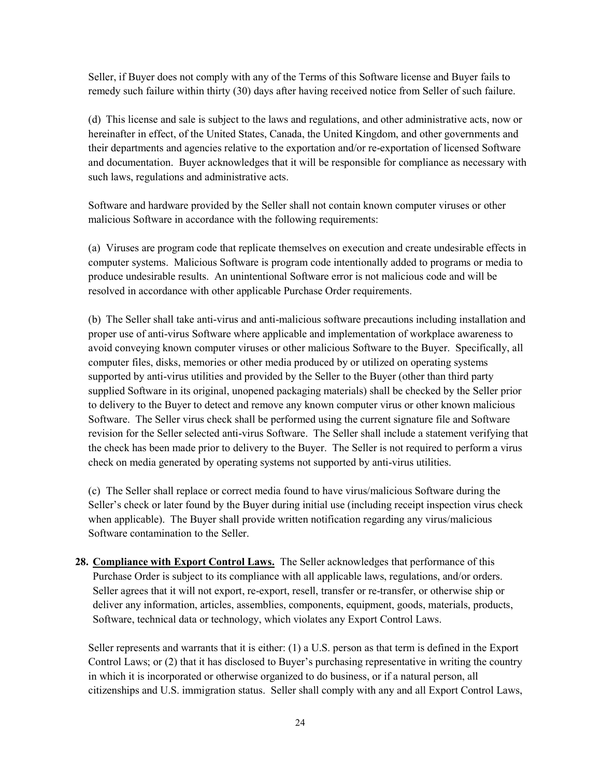Seller, if Buyer does not comply with any of the Terms of this Software license and Buyer fails to remedy such failure within thirty (30) days after having received notice from Seller of such failure.

(d) This license and sale is subject to the laws and regulations, and other administrative acts, now or hereinafter in effect, of the United States, Canada, the United Kingdom, and other governments and their departments and agencies relative to the exportation and/or re-exportation of licensed Software and documentation. Buyer acknowledges that it will be responsible for compliance as necessary with such laws, regulations and administrative acts.

Software and hardware provided by the Seller shall not contain known computer viruses or other malicious Software in accordance with the following requirements:

(a) Viruses are program code that replicate themselves on execution and create undesirable effects in computer systems. Malicious Software is program code intentionally added to programs or media to produce undesirable results. An unintentional Software error is not malicious code and will be resolved in accordance with other applicable Purchase Order requirements.

(b) The Seller shall take anti-virus and anti-malicious software precautions including installation and proper use of anti-virus Software where applicable and implementation of workplace awareness to avoid conveying known computer viruses or other malicious Software to the Buyer. Specifically, all computer files, disks, memories or other media produced by or utilized on operating systems supported by anti-virus utilities and provided by the Seller to the Buyer (other than third party supplied Software in its original, unopened packaging materials) shall be checked by the Seller prior to delivery to the Buyer to detect and remove any known computer virus or other known malicious Software. The Seller virus check shall be performed using the current signature file and Software revision for the Seller selected anti-virus Software. The Seller shall include a statement verifying that the check has been made prior to delivery to the Buyer. The Seller is not required to perform a virus check on media generated by operating systems not supported by anti-virus utilities.

(c) The Seller shall replace or correct media found to have virus/malicious Software during the Seller's check or later found by the Buyer during initial use (including receipt inspection virus check when applicable). The Buyer shall provide written notification regarding any virus/malicious Software contamination to the Seller.

28. Compliance with Export Control Laws. The Seller acknowledges that performance of this Purchase Order is subject to its compliance with all applicable laws, regulations, and/or orders. Seller agrees that it will not export, re-export, resell, transfer or re-transfer, or otherwise ship or deliver any information, articles, assemblies, components, equipment, goods, materials, products, Software, technical data or technology, which violates any Export Control Laws.

Seller represents and warrants that it is either: (1) a U.S. person as that term is defined in the Export Control Laws; or (2) that it has disclosed to Buyer's purchasing representative in writing the country in which it is incorporated or otherwise organized to do business, or if a natural person, all citizenships and U.S. immigration status. Seller shall comply with any and all Export Control Laws,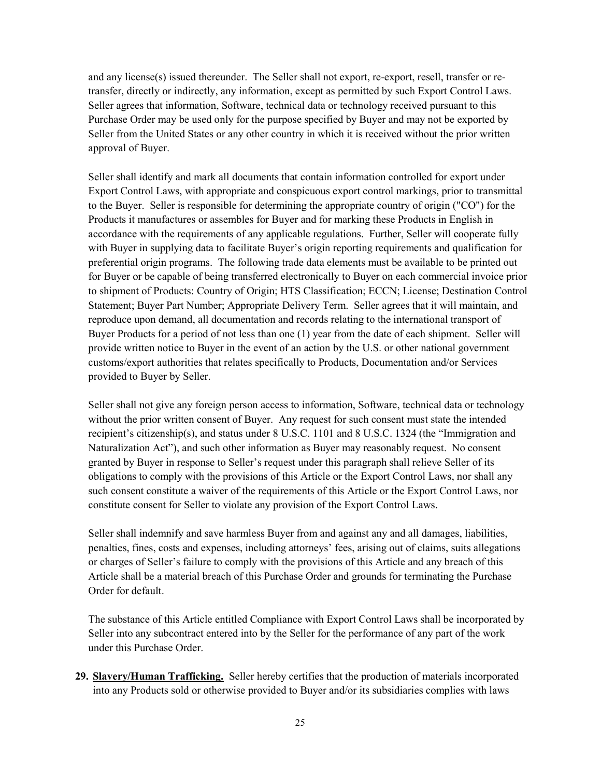and any license(s) issued thereunder. The Seller shall not export, re-export, resell, transfer or retransfer, directly or indirectly, any information, except as permitted by such Export Control Laws. Seller agrees that information, Software, technical data or technology received pursuant to this Purchase Order may be used only for the purpose specified by Buyer and may not be exported by Seller from the United States or any other country in which it is received without the prior written approval of Buyer.

Seller shall identify and mark all documents that contain information controlled for export under Export Control Laws, with appropriate and conspicuous export control markings, prior to transmittal to the Buyer. Seller is responsible for determining the appropriate country of origin ("CO") for the Products it manufactures or assembles for Buyer and for marking these Products in English in accordance with the requirements of any applicable regulations. Further, Seller will cooperate fully with Buyer in supplying data to facilitate Buyer's origin reporting requirements and qualification for preferential origin programs. The following trade data elements must be available to be printed out for Buyer or be capable of being transferred electronically to Buyer on each commercial invoice prior to shipment of Products: Country of Origin; HTS Classification; ECCN; License; Destination Control Statement; Buyer Part Number; Appropriate Delivery Term. Seller agrees that it will maintain, and reproduce upon demand, all documentation and records relating to the international transport of Buyer Products for a period of not less than one (1) year from the date of each shipment. Seller will provide written notice to Buyer in the event of an action by the U.S. or other national government customs/export authorities that relates specifically to Products, Documentation and/or Services provided to Buyer by Seller.

Seller shall not give any foreign person access to information, Software, technical data or technology without the prior written consent of Buyer. Any request for such consent must state the intended recipient's citizenship(s), and status under 8 U.S.C. 1101 and 8 U.S.C. 1324 (the "Immigration and Naturalization Act"), and such other information as Buyer may reasonably request. No consent granted by Buyer in response to Seller's request under this paragraph shall relieve Seller of its obligations to comply with the provisions of this Article or the Export Control Laws, nor shall any such consent constitute a waiver of the requirements of this Article or the Export Control Laws, nor constitute consent for Seller to violate any provision of the Export Control Laws.

Seller shall indemnify and save harmless Buyer from and against any and all damages, liabilities, penalties, fines, costs and expenses, including attorneys' fees, arising out of claims, suits allegations or charges of Seller's failure to comply with the provisions of this Article and any breach of this Article shall be a material breach of this Purchase Order and grounds for terminating the Purchase Order for default.

The substance of this Article entitled Compliance with Export Control Laws shall be incorporated by Seller into any subcontract entered into by the Seller for the performance of any part of the work under this Purchase Order.

29. Slavery/Human Trafficking. Seller hereby certifies that the production of materials incorporated into any Products sold or otherwise provided to Buyer and/or its subsidiaries complies with laws